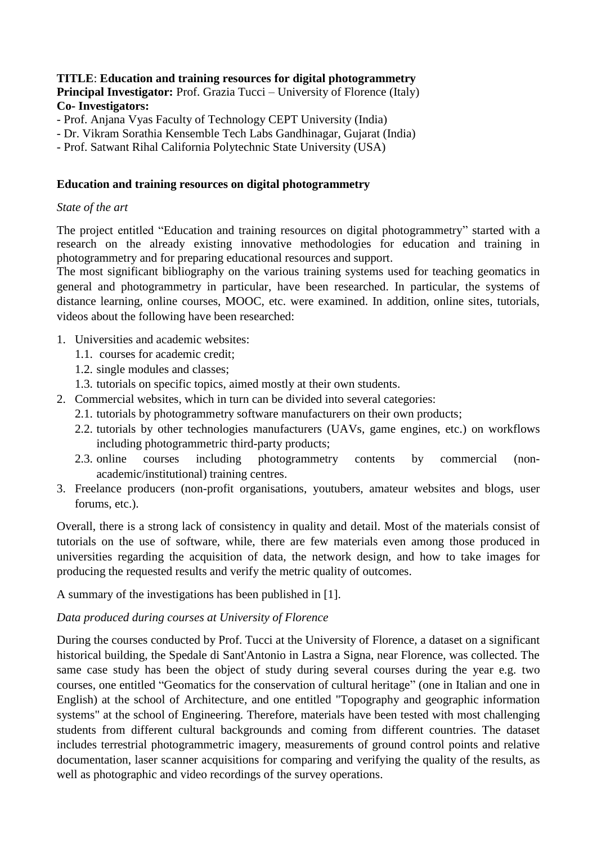# **TITLE**: **Education and training resources for digital photogrammetry Principal Investigator:** Prof. Grazia Tucci – University of Florence (Italy) **Co- Investigators:**

- Prof. Anjana Vyas Faculty of Technology CEPT University (India)
- Dr. Vikram Sorathia Kensemble Tech Labs Gandhinagar, Gujarat (India)

- Prof. Satwant Rihal California Polytechnic State University (USA)

#### **Education and training resources on digital photogrammetry**

#### *State of the art*

The project entitled "Education and training resources on digital photogrammetry" started with a research on the already existing innovative methodologies for education and training in photogrammetry and for preparing educational resources and support.

The most significant bibliography on the various training systems used for teaching geomatics in general and photogrammetry in particular, have been researched. In particular, the systems of distance learning, online courses, MOOC, etc. were examined. In addition, online sites, tutorials, videos about the following have been researched:

- 1. Universities and academic websites:
	- 1.1. courses for academic credit;
	- 1.2. single modules and classes;
	- 1.3. tutorials on specific topics, aimed mostly at their own students.
- 2. Commercial websites, which in turn can be divided into several categories:
	- 2.1. tutorials by photogrammetry software manufacturers on their own products;
	- 2.2. tutorials by other technologies manufacturers (UAVs, game engines, etc.) on workflows including photogrammetric third-party products;
	- 2.3. online courses including photogrammetry contents by commercial (nonacademic/institutional) training centres.
- 3. Freelance producers (non-profit organisations, youtubers, amateur websites and blogs, user forums, etc.).

Overall, there is a strong lack of consistency in quality and detail. Most of the materials consist of tutorials on the use of software, while, there are few materials even among those produced in universities regarding the acquisition of data, the network design, and how to take images for producing the requested results and verify the metric quality of outcomes.

A summary of the investigations has been published in [1].

# *Data produced during courses at University of Florence*

During the courses conducted by Prof. Tucci at the University of Florence, a dataset on a significant historical building, the Spedale di Sant'Antonio in Lastra a Signa, near Florence, was collected. The same case study has been the object of study during several courses during the year e.g. two courses, one entitled "Geomatics for the conservation of cultural heritage" (one in Italian and one in English) at the school of Architecture, and one entitled "Topography and geographic information systems" at the school of Engineering. Therefore, materials have been tested with most challenging students from different cultural backgrounds and coming from different countries. The dataset includes terrestrial photogrammetric imagery, measurements of ground control points and relative documentation, laser scanner acquisitions for comparing and verifying the quality of the results, as well as photographic and video recordings of the survey operations.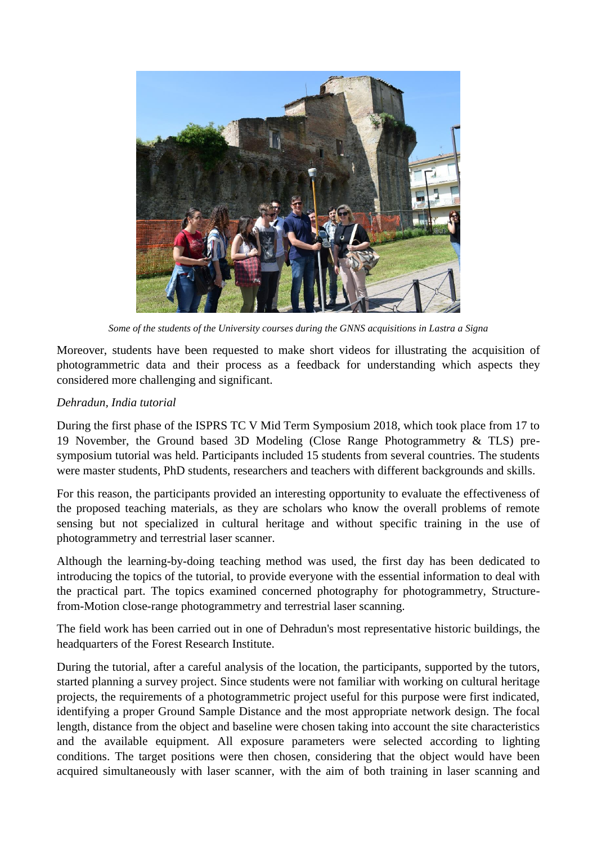

*Some of the students of the University courses during the GNNS acquisitions in Lastra a Signa*

Moreover, students have been requested to make short videos for illustrating the acquisition of photogrammetric data and their process as a feedback for understanding which aspects they considered more challenging and significant.

# *Dehradun, India tutorial*

During the first phase of the ISPRS TC V Mid Term Symposium 2018, which took place from 17 to 19 November, the Ground based 3D Modeling (Close Range Photogrammetry & TLS) presymposium tutorial was held. Participants included 15 students from several countries. The students were master students, PhD students, researchers and teachers with different backgrounds and skills.

For this reason, the participants provided an interesting opportunity to evaluate the effectiveness of the proposed teaching materials, as they are scholars who know the overall problems of remote sensing but not specialized in cultural heritage and without specific training in the use of photogrammetry and terrestrial laser scanner.

Although the learning-by-doing teaching method was used, the first day has been dedicated to introducing the topics of the tutorial, to provide everyone with the essential information to deal with the practical part. The topics examined concerned photography for photogrammetry, Structurefrom-Motion close-range photogrammetry and terrestrial laser scanning.

The field work has been carried out in one of Dehradun's most representative historic buildings, the headquarters of the Forest Research Institute.

During the tutorial, after a careful analysis of the location, the participants, supported by the tutors, started planning a survey project. Since students were not familiar with working on cultural heritage projects, the requirements of a photogrammetric project useful for this purpose were first indicated, identifying a proper Ground Sample Distance and the most appropriate network design. The focal length, distance from the object and baseline were chosen taking into account the site characteristics and the available equipment. All exposure parameters were selected according to lighting conditions. The target positions were then chosen, considering that the object would have been acquired simultaneously with laser scanner, with the aim of both training in laser scanning and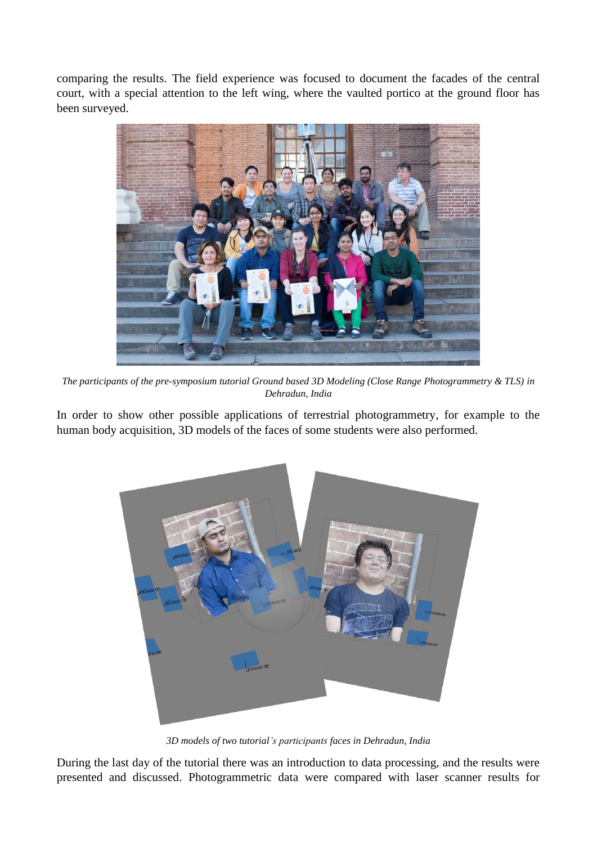comparing the results. The field experience was focused to document the facades of the central court, with a special attention to the left wing, where the vaulted portico at the ground floor has been surveyed.



*The participants of the pre-symposium tutorial Ground based 3D Modeling (Close Range Photogrammetry & TLS) in Dehradun, India*

In order to show other possible applications of terrestrial photogrammetry, for example to the human body acquisition, 3D models of the faces of some students were also performed.



*3D models of two tutorial's participants faces in Dehradun, India*

During the last day of the tutorial there was an introduction to data processing, and the results were presented and discussed. Photogrammetric data were compared with laser scanner results for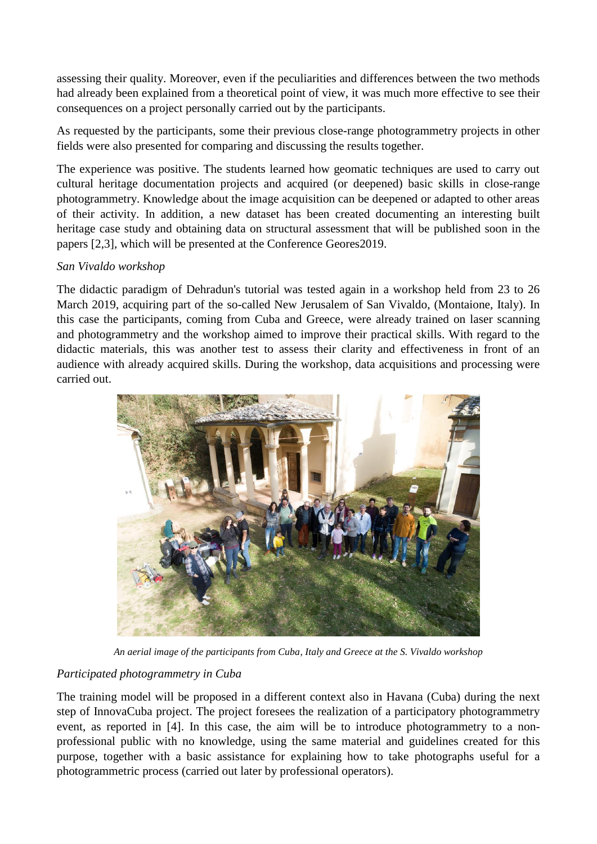assessing their quality. Moreover, even if the peculiarities and differences between the two methods had already been explained from a theoretical point of view, it was much more effective to see their consequences on a project personally carried out by the participants.

As requested by the participants, some their previous close-range photogrammetry projects in other fields were also presented for comparing and discussing the results together.

The experience was positive. The students learned how geomatic techniques are used to carry out cultural heritage documentation projects and acquired (or deepened) basic skills in close-range photogrammetry. Knowledge about the image acquisition can be deepened or adapted to other areas of their activity. In addition, a new dataset has been created documenting an interesting built heritage case study and obtaining data on structural assessment that will be published soon in the papers [2,3], which will be presented at the Conference Geores2019.

# *San Vivaldo workshop*

The didactic paradigm of Dehradun's tutorial was tested again in a workshop held from 23 to 26 March 2019, acquiring part of the so-called New Jerusalem of San Vivaldo, (Montaione, Italy). In this case the participants, coming from Cuba and Greece, were already trained on laser scanning and photogrammetry and the workshop aimed to improve their practical skills. With regard to the didactic materials, this was another test to assess their clarity and effectiveness in front of an audience with already acquired skills. During the workshop, data acquisitions and processing were carried out.



*An aerial image of the participants from Cuba, Italy and Greece at the S. Vivaldo workshop*

# *Participated photogrammetry in Cuba*

The training model will be proposed in a different context also in Havana (Cuba) during the next step of InnovaCuba project. The project foresees the realization of a participatory photogrammetry event, as reported in [4]. In this case, the aim will be to introduce photogrammetry to a nonprofessional public with no knowledge, using the same material and guidelines created for this purpose, together with a basic assistance for explaining how to take photographs useful for a photogrammetric process (carried out later by professional operators).